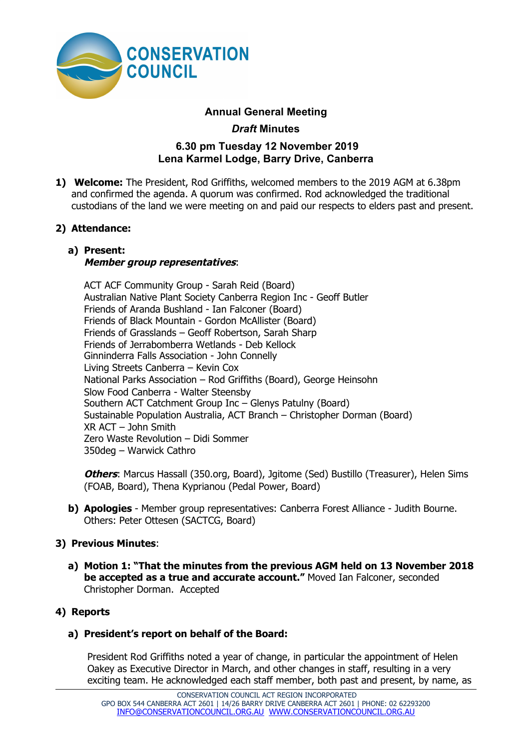

# **Annual General Meeting**

*Draft* **Minutes**

# **6.30 pm Tuesday 12 November 2019 Lena Karmel Lodge, Barry Drive, Canberra**

**1) Welcome:** The President, Rod Griffiths, welcomed members to the 2019 AGM at 6.38pm and confirmed the agenda. A quorum was confirmed. Rod acknowledged the traditional custodians of the land we were meeting on and paid our respects to elders past and present.

## **2) Attendance:**

#### **a) Present: Member group representatives**:

ACT ACF Community Group - Sarah Reid (Board) Australian Native Plant Society Canberra Region Inc - Geoff Butler Friends of Aranda Bushland - Ian Falconer (Board) Friends of Black Mountain - Gordon McAllister (Board) Friends of Grasslands – Geoff Robertson, Sarah Sharp Friends of Jerrabomberra Wetlands - Deb Kellock Ginninderra Falls Association - John Connelly Living Streets Canberra – Kevin Cox National Parks Association – Rod Griffiths (Board), George Heinsohn Slow Food Canberra - Walter Steensby Southern ACT Catchment Group Inc – Glenys Patulny (Board) Sustainable Population Australia, ACT Branch – Christopher Dorman (Board) XR ACT – John Smith Zero Waste Revolution – Didi Sommer 350deg – Warwick Cathro

**Others**: Marcus Hassall (350.org, Board), Jgitome (Sed) Bustillo (Treasurer), Helen Sims (FOAB, Board), Thena Kyprianou (Pedal Power, Board)

**b) Apologies** - Member group representatives: Canberra Forest Alliance - Judith Bourne. Others: Peter Ottesen (SACTCG, Board)

## **3) Previous Minutes**:

**a) Motion 1: "That the minutes from the previous AGM held on 13 November 2018 be accepted as a true and accurate account."** Moved Ian Falconer, seconded Christopher Dorman. Accepted

## **4) Reports**

## **a) President's report on behalf of the Board:**

President Rod Griffiths noted a year of change, in particular the appointment of Helen Oakey as Executive Director in March, and other changes in staff, resulting in a very exciting team. He acknowledged each staff member, both past and present, by name, as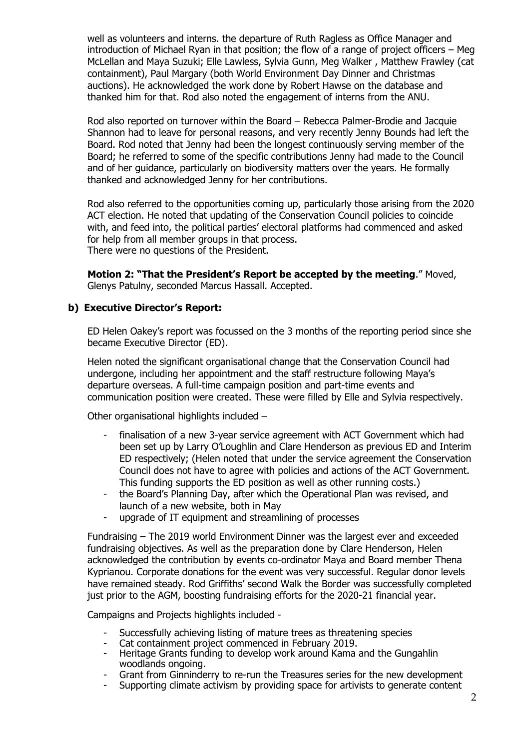well as volunteers and interns. the departure of Ruth Ragless as Office Manager and introduction of Michael Ryan in that position; the flow of a range of project officers – Meg McLellan and Maya Suzuki; Elle Lawless, Sylvia Gunn, Meg Walker , Matthew Frawley (cat containment), Paul Margary (both World Environment Day Dinner and Christmas auctions). He acknowledged the work done by Robert Hawse on the database and thanked him for that. Rod also noted the engagement of interns from the ANU.

Rod also reported on turnover within the Board – Rebecca Palmer-Brodie and Jacquie Shannon had to leave for personal reasons, and very recently Jenny Bounds had left the Board. Rod noted that Jenny had been the longest continuously serving member of the Board; he referred to some of the specific contributions Jenny had made to the Council and of her guidance, particularly on biodiversity matters over the years. He formally thanked and acknowledged Jenny for her contributions.

Rod also referred to the opportunities coming up, particularly those arising from the 2020 ACT election. He noted that updating of the Conservation Council policies to coincide with, and feed into, the political parties' electoral platforms had commenced and asked for help from all member groups in that process. There were no questions of the President.

**Motion 2: "That the President's Report be accepted by the meeting**." Moved, Glenys Patulny, seconded Marcus Hassall. Accepted.

#### **b) Executive Director's Report:**

ED Helen Oakey's report was focussed on the 3 months of the reporting period since she became Executive Director (ED).

Helen noted the significant organisational change that the Conservation Council had undergone, including her appointment and the staff restructure following Maya's departure overseas. A full-time campaign position and part-time events and communication position were created. These were filled by Elle and Sylvia respectively.

Other organisational highlights included –

- finalisation of a new 3-year service agreement with ACT Government which had been set up by Larry O'Loughlin and Clare Henderson as previous ED and Interim ED respectively; (Helen noted that under the service agreement the Conservation Council does not have to agree with policies and actions of the ACT Government. This funding supports the ED position as well as other running costs.)
- the Board's Planning Day, after which the Operational Plan was revised, and launch of a new website, both in May
- upgrade of IT equipment and streamlining of processes

Fundraising – The 2019 world Environment Dinner was the largest ever and exceeded fundraising objectives. As well as the preparation done by Clare Henderson, Helen acknowledged the contribution by events co-ordinator Maya and Board member Thena Kyprianou. Corporate donations for the event was very successful. Regular donor levels have remained steady. Rod Griffiths' second Walk the Border was successfully completed just prior to the AGM, boosting fundraising efforts for the 2020-21 financial year.

Campaigns and Projects highlights included -

- Successfully achieving listing of mature trees as threatening species
- Cat containment project commenced in February 2019.
- Heritage Grants funding to develop work around Kama and the Gungahlin woodlands ongoing.
- Grant from Ginninderry to re-run the Treasures series for the new development
- Supporting climate activism by providing space for artivists to generate content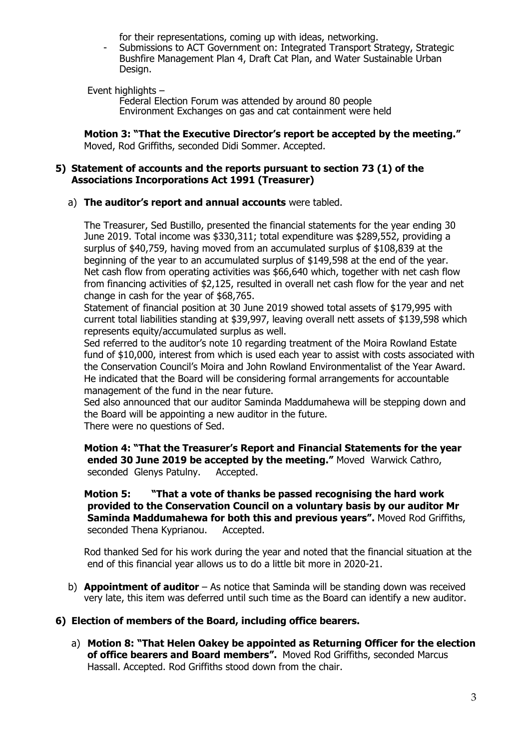for their representations, coming up with ideas, networking.

- Submissions to ACT Government on: Integrated Transport Strategy, Strategic Bushfire Management Plan 4, Draft Cat Plan, and Water Sustainable Urban Design.

Event highlights –

Federal Election Forum was attended by around 80 people Environment Exchanges on gas and cat containment were held

**Motion 3: "That the Executive Director's report be accepted by the meeting."** Moved, Rod Griffiths, seconded Didi Sommer. Accepted.

#### **5) Statement of accounts and the reports pursuant to section 73 (1) of the Associations Incorporations Act 1991 (Treasurer)**

a) **The auditor's report and annual accounts** were tabled.

The Treasurer, Sed Bustillo, presented the financial statements for the year ending 30 June 2019. Total income was \$330,311; total expenditure was \$289,552, providing a surplus of \$40,759, having moved from an accumulated surplus of \$108,839 at the beginning of the year to an accumulated surplus of \$149,598 at the end of the year. Net cash flow from operating activities was \$66,640 which, together with net cash flow from financing activities of \$2,125, resulted in overall net cash flow for the year and net change in cash for the year of \$68,765.

Statement of financial position at 30 June 2019 showed total assets of \$179,995 with current total liabilities standing at \$39,997, leaving overall nett assets of \$139,598 which represents equity/accumulated surplus as well.

Sed referred to the auditor's note 10 regarding treatment of the Moira Rowland Estate fund of \$10,000, interest from which is used each year to assist with costs associated with the Conservation Council's Moira and John Rowland Environmentalist of the Year Award. He indicated that the Board will be considering formal arrangements for accountable management of the fund in the near future.

Sed also announced that our auditor Saminda Maddumahewa will be stepping down and the Board will be appointing a new auditor in the future.

There were no questions of Sed.

**Motion 4: "That the Treasurer's Report and Financial Statements for the year ended 30 June 2019 be accepted by the meeting."** Moved Warwick Cathro, seconded Glenys Patulny. Accepted.

**Motion 5: "That a vote of thanks be passed recognising the hard work provided to the Conservation Council on a voluntary basis by our auditor Mr Saminda Maddumahewa for both this and previous years".** Moved Rod Griffiths, seconded Thena Kyprianou. Accepted.

Rod thanked Sed for his work during the year and noted that the financial situation at the end of this financial year allows us to do a little bit more in 2020-21.

b) **Appointment of auditor** – As notice that Saminda will be standing down was received very late, this item was deferred until such time as the Board can identify a new auditor.

## **6) Election of members of the Board, including office bearers.**

a) **Motion 8: "That Helen Oakey be appointed as Returning Officer for the election of office bearers and Board members".** Moved Rod Griffiths, seconded Marcus Hassall. Accepted. Rod Griffiths stood down from the chair.